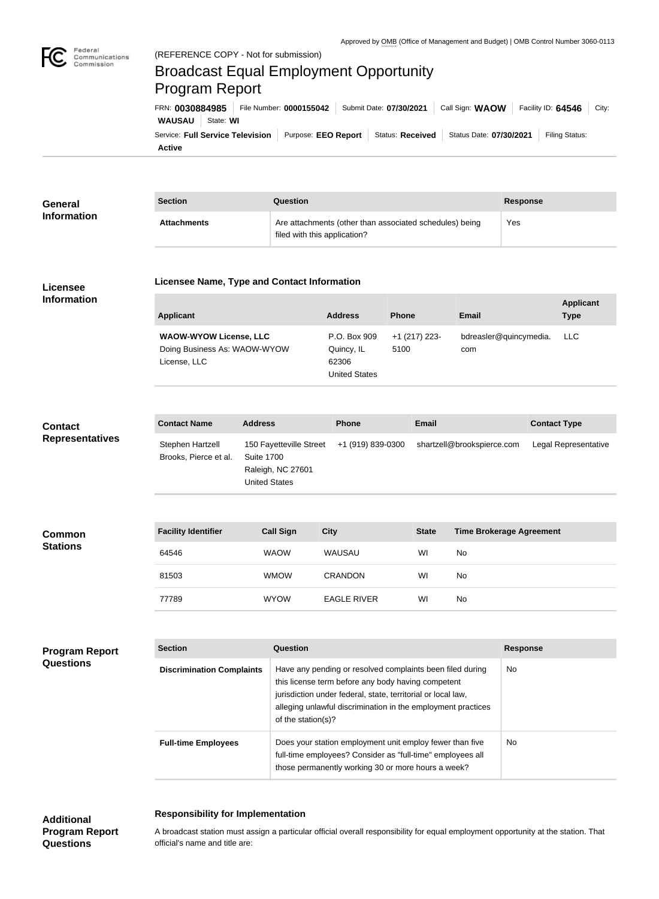

Federal

## regeral<br>Communications<br>Commission (REFERENCE COPY - Not for submission) Broadcast Equal Employment Opportunity Program ReportFRN: **0030884985** File Number: **0000155042** Submit Date: **07/30/2021** Call Sign: **WAOW** Facility ID: **64546** City: **WAUSAU** State: **WI** Service: Full Service Television | Purpose: EEO Report | Status: Received | Status Date: 07/30/2021 | Filing Status: **Active**

| General<br><b>Information</b> | <b>Section</b>     | Question                                                                                | Response |
|-------------------------------|--------------------|-----------------------------------------------------------------------------------------|----------|
|                               | <b>Attachments</b> | Are attachments (other than associated schedules) being<br>filed with this application? | Yes      |

#### **Licensee Information**

# **Licensee Name, Type and Contact Information**

| Applicant                                                                     | <b>Address</b>                                              | <b>Phone</b>          | <b>Email</b>                  | <b>Applicant</b><br>Type |
|-------------------------------------------------------------------------------|-------------------------------------------------------------|-----------------------|-------------------------------|--------------------------|
| <b>WAOW-WYOW License, LLC</b><br>Doing Business As: WAOW-WYOW<br>License, LLC | P.O. Box 909<br>Quincy, IL<br>62306<br><b>United States</b> | +1 (217) 223-<br>5100 | bdreasler@quincymedia.<br>com | LLC.                     |

### **Contact Representatives**

| <b>Contact Name</b>                       | <b>Address</b>                                                              | <b>Phone</b>      | <b>Email</b>               | <b>Contact Type</b>  |
|-------------------------------------------|-----------------------------------------------------------------------------|-------------------|----------------------------|----------------------|
| Stephen Hartzell<br>Brooks, Pierce et al. | 150 Fayetteville Street<br>Suite 1700<br>Raleigh, NC 27601<br>United States | +1 (919) 839-0300 | shartzell@brookspierce.com | Legal Representative |

| Common<br><b>Stations</b> | <b>Facility Identifier</b> | <b>Call Sign</b> | <b>City</b>        | <b>State</b> | <b>Time Brokerage Agreement</b> |
|---------------------------|----------------------------|------------------|--------------------|--------------|---------------------------------|
|                           | 64546                      | <b>WAOW</b>      | WAUSAU             | WI           | No                              |
|                           | 81503                      | <b>WMOW</b>      | <b>CRANDON</b>     | WI           | No                              |
|                           | 77789                      | <b>WYOW</b>      | <b>EAGLE RIVER</b> | WI           | No                              |

#### **Program Report Questions**

| <b>Section</b>                   | Question                                                                                                                                                                                                                                                              | <b>Response</b> |
|----------------------------------|-----------------------------------------------------------------------------------------------------------------------------------------------------------------------------------------------------------------------------------------------------------------------|-----------------|
| <b>Discrimination Complaints</b> | Have any pending or resolved complaints been filed during<br>this license term before any body having competent<br>jurisdiction under federal, state, territorial or local law,<br>alleging unlawful discrimination in the employment practices<br>of the station(s)? | No.             |
| <b>Full-time Employees</b>       | Does your station employment unit employ fewer than five<br>full-time employees? Consider as "full-time" employees all<br>those permanently working 30 or more hours a week?                                                                                          | No.             |

## **Additional Program Report Questions**

## **Responsibility for Implementation**

A broadcast station must assign a particular official overall responsibility for equal employment opportunity at the station. That official's name and title are: